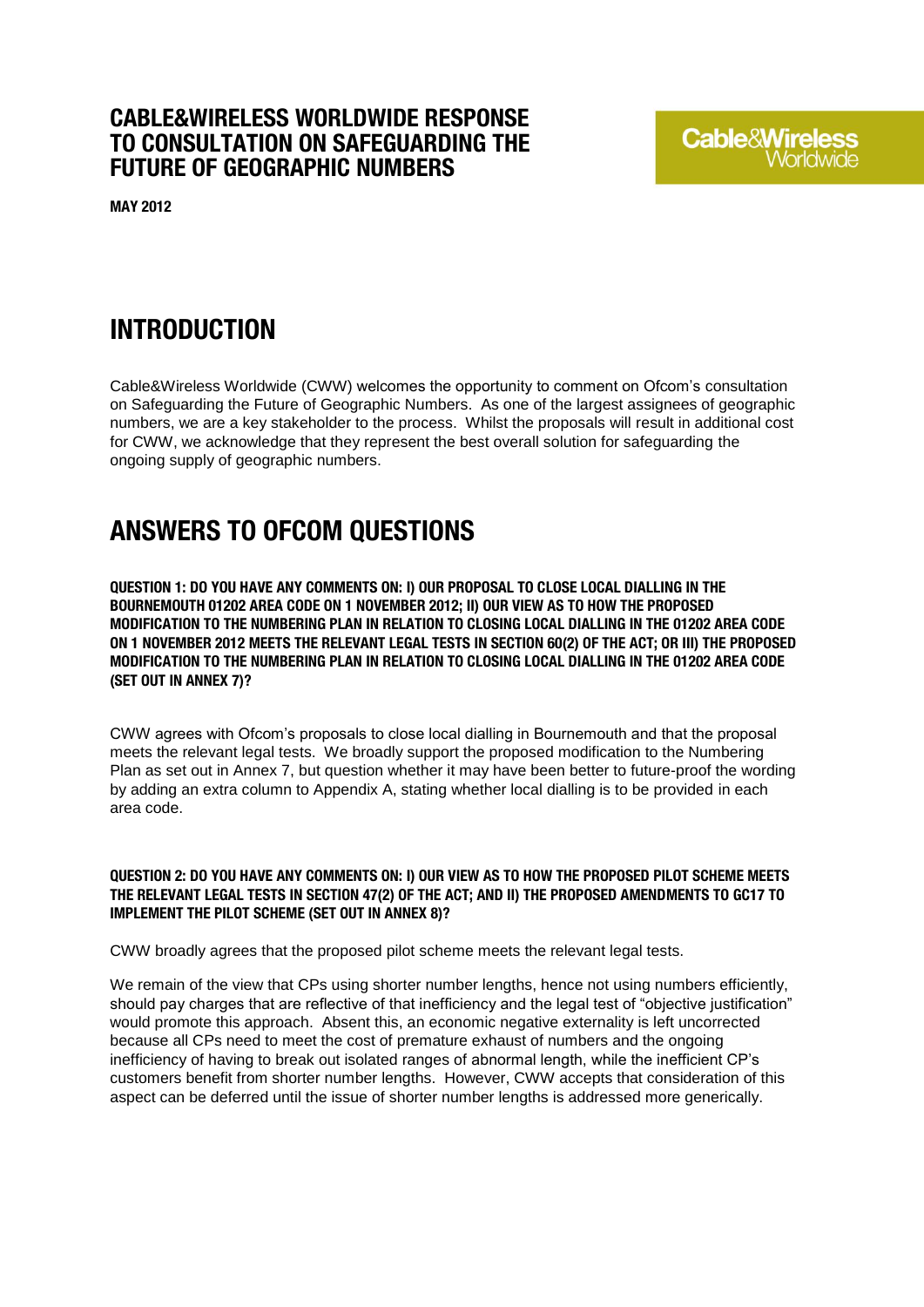### **CABLE&WIRELESS WORLDWIDE RESPONSE TO CONSULTATION ON SAFEGUARDING THE FUTURE OF GEOGRAPHIC NUMBERS**

**MAY 2012**

# **Cable&Wireless**

## **INTRODUCTION**

Cable&Wireless Worldwide (CWW) welcomes the opportunity to comment on Ofcom's consultation on Safeguarding the Future of Geographic Numbers. As one of the largest assignees of geographic numbers, we are a key stakeholder to the process. Whilst the proposals will result in additional cost for CWW, we acknowledge that they represent the best overall solution for safeguarding the ongoing supply of geographic numbers.

## **ANSWERS TO OFCOM QUESTIONS**

**QUESTION 1: DO YOU HAVE ANY COMMENTS ON: I) OUR PROPOSAL TO CLOSE LOCAL DIALLING IN THE BOURNEMOUTH 01202 AREA CODE ON 1 NOVEMBER 2012; II) OUR VIEW AS TO HOW THE PROPOSED MODIFICATION TO THE NUMBERING PLAN IN RELATION TO CLOSING LOCAL DIALLING IN THE 01202 AREA CODE ON 1 NOVEMBER 2012 MEETS THE RELEVANT LEGAL TESTS IN SECTION 60(2) OF THE ACT; OR III) THE PROPOSED MODIFICATION TO THE NUMBERING PLAN IN RELATION TO CLOSING LOCAL DIALLING IN THE 01202 AREA CODE (SET OUT IN ANNEX 7)?**

CWW agrees with Ofcom's proposals to close local dialling in Bournemouth and that the proposal meets the relevant legal tests. We broadly support the proposed modification to the Numbering Plan as set out in Annex 7, but question whether it may have been better to future-proof the wording by adding an extra column to Appendix A, stating whether local dialling is to be provided in each area code.

**QUESTION 2: DO YOU HAVE ANY COMMENTS ON: I) OUR VIEW AS TO HOW THE PROPOSED PILOT SCHEME MEETS THE RELEVANT LEGAL TESTS IN SECTION 47(2) OF THE ACT; AND II) THE PROPOSED AMENDMENTS TO GC17 TO IMPLEMENT THE PILOT SCHEME (SET OUT IN ANNEX 8)?**

CWW broadly agrees that the proposed pilot scheme meets the relevant legal tests.

We remain of the view that CPs using shorter number lengths, hence not using numbers efficiently, should pay charges that are reflective of that inefficiency and the legal test of "objective justification" would promote this approach. Absent this, an economic negative externality is left uncorrected because all CPs need to meet the cost of premature exhaust of numbers and the ongoing inefficiency of having to break out isolated ranges of abnormal length, while the inefficient CP's customers benefit from shorter number lengths. However, CWW accepts that consideration of this aspect can be deferred until the issue of shorter number lengths is addressed more generically.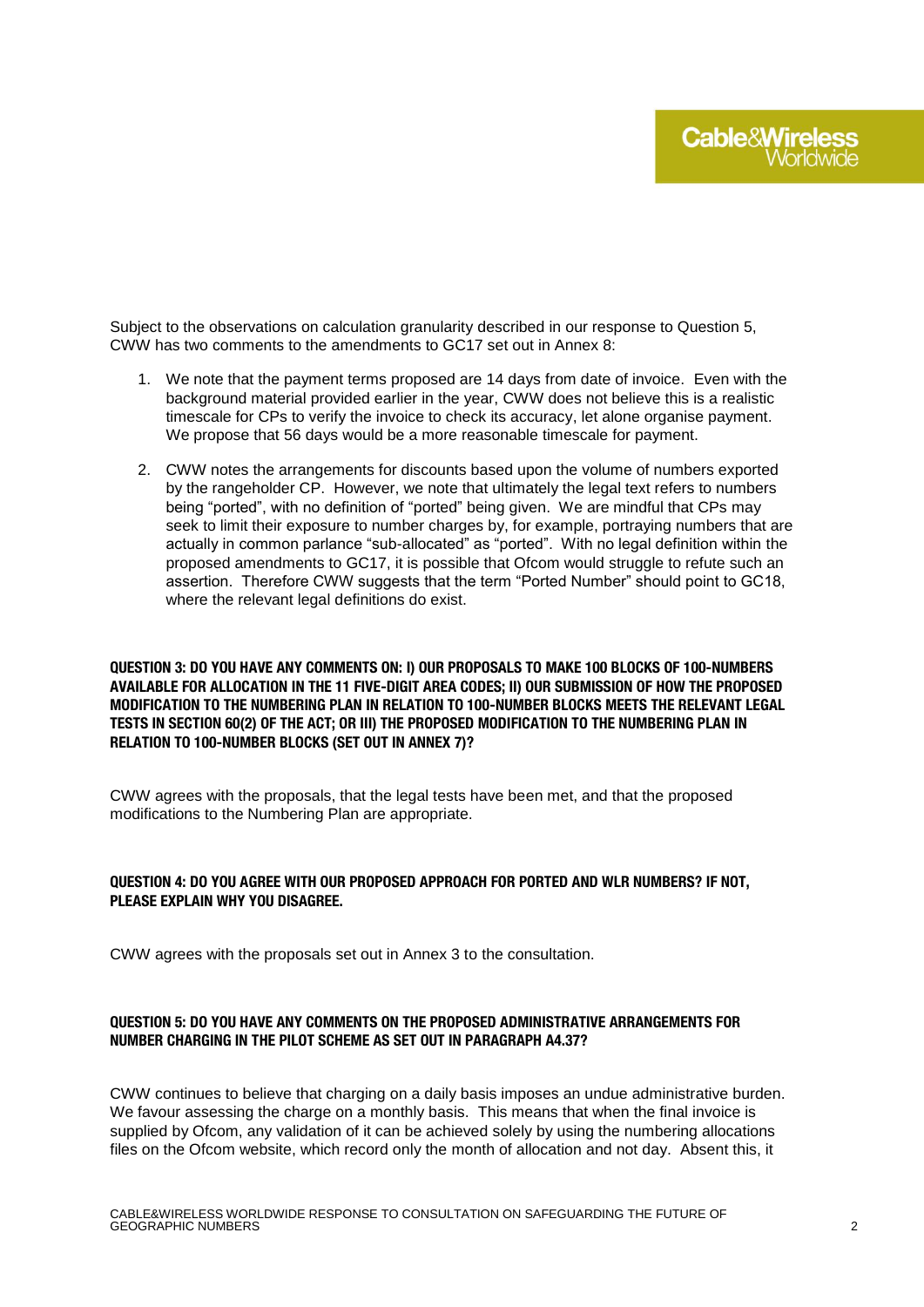Subject to the observations on calculation granularity described in our response to Question 5, CWW has two comments to the amendments to GC17 set out in Annex 8:

- 1. We note that the payment terms proposed are 14 days from date of invoice. Even with the background material provided earlier in the year, CWW does not believe this is a realistic timescale for CPs to verify the invoice to check its accuracy, let alone organise payment. We propose that 56 days would be a more reasonable timescale for payment.
- 2. CWW notes the arrangements for discounts based upon the volume of numbers exported by the rangeholder CP. However, we note that ultimately the legal text refers to numbers being "ported", with no definition of "ported" being given. We are mindful that CPs may seek to limit their exposure to number charges by, for example, portraying numbers that are actually in common parlance "sub-allocated" as "ported". With no legal definition within the proposed amendments to GC17, it is possible that Ofcom would struggle to refute such an assertion. Therefore CWW suggests that the term "Ported Number" should point to GC18. where the relevant legal definitions do exist.

**QUESTION 3: DO YOU HAVE ANY COMMENTS ON: I) OUR PROPOSALS TO MAKE 100 BLOCKS OF 100-NUMBERS AVAILABLE FOR ALLOCATION IN THE 11 FIVE-DIGIT AREA CODES; II) OUR SUBMISSION OF HOW THE PROPOSED MODIFICATION TO THE NUMBERING PLAN IN RELATION TO 100-NUMBER BLOCKS MEETS THE RELEVANT LEGAL TESTS IN SECTION 60(2) OF THE ACT; OR III) THE PROPOSED MODIFICATION TO THE NUMBERING PLAN IN RELATION TO 100-NUMBER BLOCKS (SET OUT IN ANNEX 7)?**

CWW agrees with the proposals, that the legal tests have been met, and that the proposed modifications to the Numbering Plan are appropriate.

#### **QUESTION 4: DO YOU AGREE WITH OUR PROPOSED APPROACH FOR PORTED AND WLR NUMBERS? IF NOT, PLEASE EXPLAIN WHY YOU DISAGREE.**

CWW agrees with the proposals set out in Annex 3 to the consultation.

#### **QUESTION 5: DO YOU HAVE ANY COMMENTS ON THE PROPOSED ADMINISTRATIVE ARRANGEMENTS FOR NUMBER CHARGING IN THE PILOT SCHEME AS SET OUT IN PARAGRAPH A4.37?**

CWW continues to believe that charging on a daily basis imposes an undue administrative burden. We favour assessing the charge on a monthly basis. This means that when the final invoice is supplied by Ofcom, any validation of it can be achieved solely by using the numbering allocations files on the Ofcom website, which record only the month of allocation and not day. Absent this, it